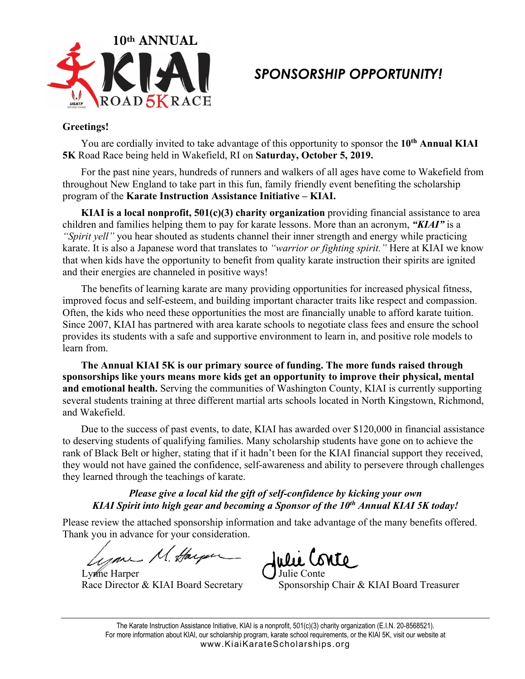

## *SPONSORSHIP OPPORTUNITY!*

#### **Greetings!**

You are cordially invited to take advantage of this opportunity to sponsor the **10th Annual KIAI 5K** Road Race being held in Wakefield, RI on **Saturday, October 5, 2019.**

For the past nine years, hundreds of runners and walkers of all ages have come to Wakefield from throughout New England to take part in this fun, family friendly event benefiting the scholarship program of the **Karate Instruction Assistance Initiative – KIAI.**

**KIAI is a local nonprofit, 501(c)(3) charity organization** providing financial assistance to area children and families helping them to pay for karate lessons. More than an acronym, *"KIAI"* is a *"Spirit yell"* you hear shouted as students channel their inner strength and energy while practicing karate. It is also a Japanese word that translates to *"warrior or fighting spirit."* Here at KIAI we know that when kids have the opportunity to benefit from quality karate instruction their spirits are ignited and their energies are channeled in positive ways!

The benefits of learning karate are many providing opportunities for increased physical fitness, improved focus and self-esteem, and building important character traits like respect and compassion. Often, the kids who need these opportunities the most are financially unable to afford karate tuition. Since 2007, KIAI has partnered with area karate schools to negotiate class fees and ensure the school provides its students with a safe and supportive environment to learn in, and positive role models to learn from.

**The Annual KIAI 5K is our primary source of funding. The more funds raised through sponsorships like yours means more kids get an opportunity to improve their physical, mental and emotional health.** Serving the communities of Washington County, KIAI is currently supporting several students training at three different martial arts schools located in North Kingstown, Richmond, and Wakefield.

Due to the success of past events, to date, KIAI has awarded over \$120,000 in financial assistance to deserving students of qualifying families. Many scholarship students have gone on to achieve the rank of Black Belt or higher, stating that if it hadn't been for the KIAI financial support they received, they would not have gained the confidence, self-awareness and ability to persevere through challenges they learned through the teachings of karate.

### *Please give a local kid the gift of self-confidence by kicking your own KIAI Spirit into high gear and becoming a Sponsor of the 10th Annual KIAI 5K today!*

Please review the attached sponsorship information and take advantage of the many benefits offered. Thank you in advance for your consideration.

Lynne Harper

Race Director & KIAI Board Secretary Sponsorship Chair & KIAI Board Treasurer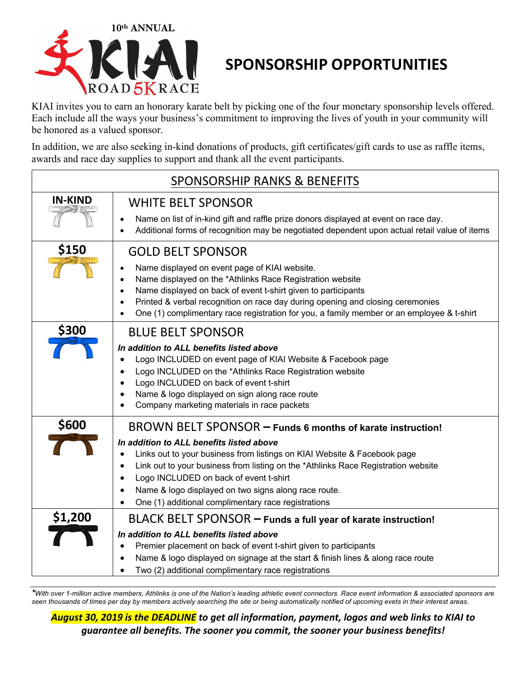

# **SPONSORSHIP OPPORTUNITIES**

KIAI invites you to earn an honorary karate belt by picking one of the four monetary sponsorship levels offered. Each include all the ways your business's commitment to improving the lives of youth in your community will be honored as a valued sponsor.

In addition, we are also seeking in-kind donations of products, gift certificates/gift cards to use as raffle items, awards and race day supplies to support and thank all the event participants.

| <b>SPONSORSHIP RANKS &amp; BENEFITS</b> |                                                                                                                                                                                                                                                                                                                                                                                                                                               |  |
|-----------------------------------------|-----------------------------------------------------------------------------------------------------------------------------------------------------------------------------------------------------------------------------------------------------------------------------------------------------------------------------------------------------------------------------------------------------------------------------------------------|--|
| <b>IN-KIND</b>                          | <b>WHITE BELT SPONSOR</b><br>Name on list of in-kind gift and raffle prize donors displayed at event on race day.<br>$\bullet$<br>Additional forms of recognition may be negotiated dependent upon actual retail value of items                                                                                                                                                                                                               |  |
| \$150                                   | <b>GOLD BELT SPONSOR</b><br>Name displayed on event page of KIAI website.<br>Name displayed on the *Athlinks Race Registration website<br>Name displayed on back of event t-shirt given to participants<br>Printed & verbal recognition on race day during opening and closing ceremonies<br>One (1) complimentary race registration for you, a family member or an employee & t-shirt                                                        |  |
| <b>\$300</b>                            | <b>BLUE BELT SPONSOR</b><br>In addition to ALL benefits listed above<br>Logo INCLUDED on event page of KIAI Website & Facebook page<br>Logo INCLUDED on the *Athlinks Race Registration website<br>Logo INCLUDED on back of event t-shirt<br>Name & logo displayed on sign along race route<br>Company marketing materials in race packets                                                                                                    |  |
| \$600                                   | BROWN BELT SPONSOR - Funds 6 months of karate instruction!<br>In addition to ALL benefits listed above<br>Links out to your business from listings on KIAI Website & Facebook page<br>Link out to your business from listing on the *Athlinks Race Registration website<br>Logo INCLUDED on back of event t-shirt<br>Name & logo displayed on two signs along race route.<br>$\bullet$<br>One (1) additional complimentary race registrations |  |
| \$1,200                                 | BLACK BELT SPONSOR - Funds a full year of karate instruction!<br>In addition to ALL benefits listed above<br>Premier placement on back of event t-shirt given to participants<br>$\bullet$<br>Name & logo displayed on signage at the start & finish lines & along race route<br>Two (2) additional complimentary race registrations                                                                                                          |  |

*\*With over 1-million active members, Athlinks is one of the Nation's leading athletic event connectors. Race event information & associated sponsors are seen thousands of times per day by members actively searching the site or being automatically notified of upcoming evets in their interest areas.*

*August 30, 2019 is the DEADLINE to get all information, payment, logos and web links to KIAI to guarantee all benefits. The sooner you commit, the sooner your business benefits!*